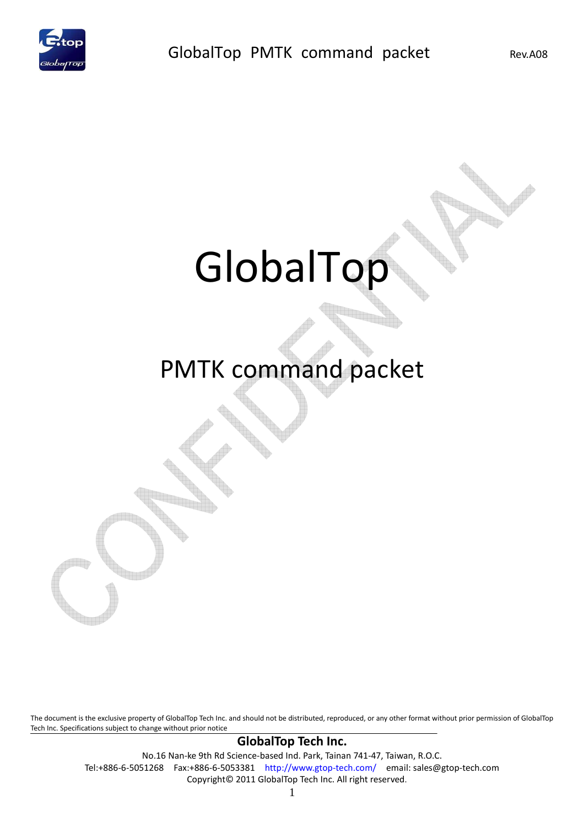

# GlobalTop

# PMTK command packet

The document is the exclusive property of GlobalTop Tech Inc. and should not be distributed, reproduced, or any other format without prior permission of GlobalTop Tech Inc. Specifications subject to change without prior notice

#### **GlobalTop Tech Inc.**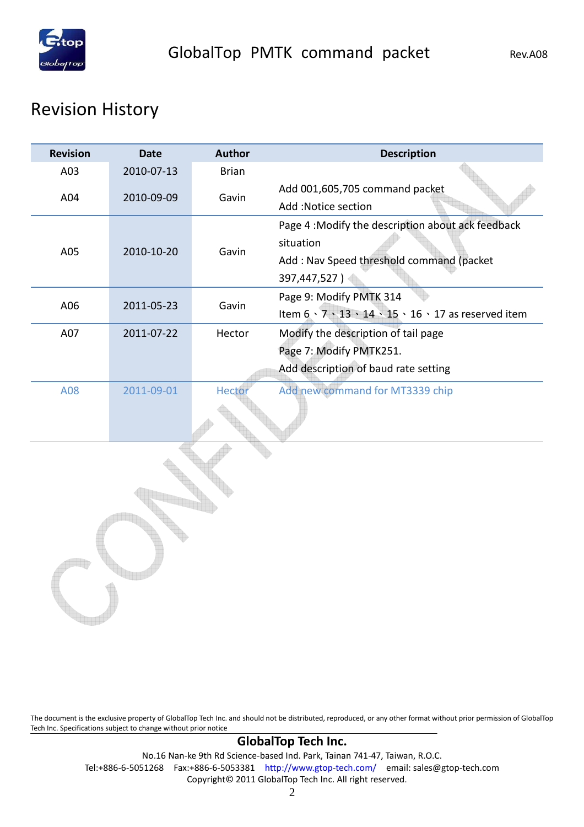

# Revision History

| <b>Revision</b> | <b>Date</b> | <b>Author</b> | <b>Description</b>                                   |  |  |
|-----------------|-------------|---------------|------------------------------------------------------|--|--|
| A03             | 2010-07-13  | <b>Brian</b>  |                                                      |  |  |
| A04             | 2010-09-09  | Gavin         | Add 001,605,705 command packet                       |  |  |
|                 |             |               | Add :Notice section                                  |  |  |
|                 |             |               | Page 4 : Modify the description about ack feedback   |  |  |
| A05             | 2010-10-20  | Gavin         | situation                                            |  |  |
|                 |             |               | Add: Nav Speed threshold command (packet             |  |  |
|                 |             |               | 397,447,527)                                         |  |  |
| A06             | 2011-05-23  | Gavin         | Page 9: Modify PMTK 314                              |  |  |
|                 |             |               | Item 6 · 7 · 13 · 14 · 15 · 16 · 17 as reserved item |  |  |
| A07             | 2011-07-22  | Hector        | Modify the description of tail page                  |  |  |
|                 |             |               | Page 7: Modify PMTK251.                              |  |  |
|                 |             |               | Add description of baud rate setting                 |  |  |
| A08             | 2011-09-01  | Hector        | Add new command for MT3339 chip                      |  |  |
|                 |             |               |                                                      |  |  |
|                 |             |               |                                                      |  |  |
|                 |             |               |                                                      |  |  |
|                 |             |               |                                                      |  |  |
|                 |             |               |                                                      |  |  |
|                 |             |               |                                                      |  |  |
|                 |             |               |                                                      |  |  |
|                 |             |               |                                                      |  |  |

The document is the exclusive property of GlobalTop Tech Inc. and should not be distributed, reproduced, or any other format without prior permission of GlobalTop Tech Inc. Specifications subject to change without prior notice

#### **GlobalTop Tech Inc.**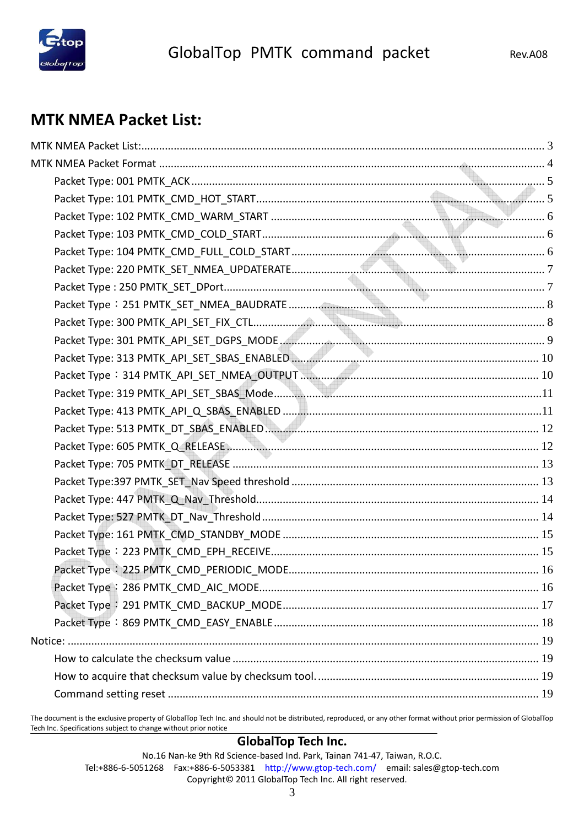

### **MTK NMEA Packet List:**

The document is the exclusive property of GlobalTop Tech Inc. and should not be distributed, reproduced, or any other format without prior permission of GlobalTop Tech Inc. Specifications subject to change without prior notice

#### **GlobalTop Tech Inc.**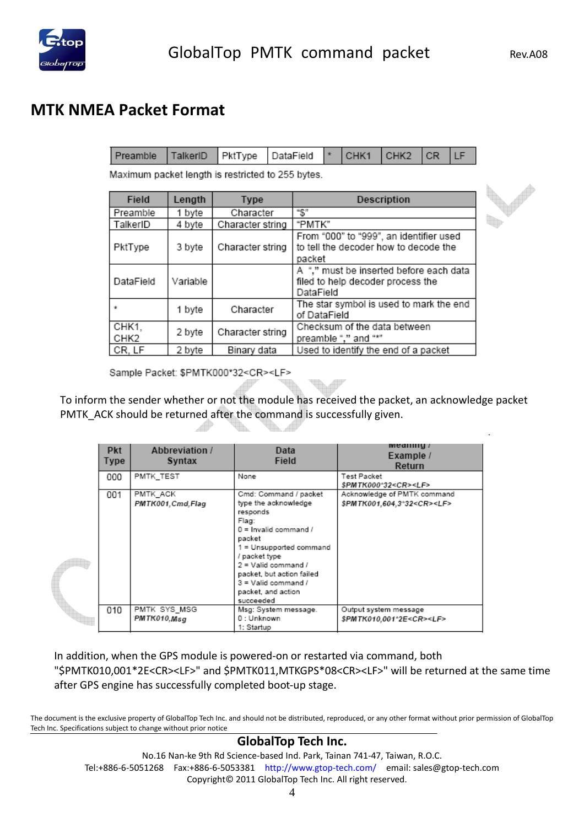

### **MTK NMEA Packet Format**

|  | Preamble TalkerID PktType DataField  * CHK1 CHK2 CR LF |  |  |  |  |  |  |  |  |
|--|--------------------------------------------------------|--|--|--|--|--|--|--|--|
|--|--------------------------------------------------------|--|--|--|--|--|--|--|--|

Maximum packet length is restricted to 255 bytes.

| Field         | Length   | <b>Type</b>                                         | Description                                                                                |
|---------------|----------|-----------------------------------------------------|--------------------------------------------------------------------------------------------|
| Preamble      | 1 byte   | Character                                           | "S"                                                                                        |
| TalkerID      | 4 byte   | Character string                                    | "PMTK"                                                                                     |
| PktType       | 3 byte   | Character string                                    | From "000" to "999", an identifier used<br>to tell the decoder how to decode the<br>packet |
| DataField     | Variable |                                                     | A "," must be inserted before each data<br>filed to help decoder process the<br>DataField  |
|               | 1 byte   | Character                                           | The star symbol is used to mark the end<br>of DataField                                    |
| CHK1.<br>CHK2 | 2 byte   | Character string                                    | Checksum of the data between<br>preamble "." and "*"                                       |
| CR, LF        | 2 byte   | Used to identify the end of a packet<br>Binary data |                                                                                            |

Sample Packet: \$PMTK000\*32<CR><LF>

To inform the sender whether or not the module has received the packet, an acknowledge packet PMTK\_ACK should be returned after the command is successfully given. Æ

| <b>Pkt</b><br>Type | Abbreviation /<br><b>Syntax</b> | Data<br>Field                                                                                                                                                                                                                                                         | меанну<br>Example /<br>Return                                        |
|--------------------|---------------------------------|-----------------------------------------------------------------------------------------------------------------------------------------------------------------------------------------------------------------------------------------------------------------------|----------------------------------------------------------------------|
| 000                | PMTK TEST                       | None                                                                                                                                                                                                                                                                  | Test Packet<br>\$PMTK000^32 <cr><lf></lf></cr>                       |
| 001                | PMTK ACK<br>PMTK001.Cmd.Flag    | Cmd: Command / packet<br>type the acknowledge<br>responds<br>Flag:<br>$0 =$ Invalid command /<br>packet<br>1 = Unsupported command<br>/ packet type<br>$2 =$ Valid command /<br>packet, but action failed<br>$3 =$ Valid command /<br>packet, and action<br>succeeded | Acknowledge of PMTK command<br>\$PMTK001.604.3°32 <cr><lf></lf></cr> |
| 010                | PMTK SYS MSG<br>PMTK010,Msq     | Msg: System message.<br>0 : Unknown<br>1: Startup                                                                                                                                                                                                                     | Output system message<br>\$PMTK010,001^2E <cr><lf></lf></cr>         |

In addition, when the GPS module is powered-on or restarted via command, both "\$PMTK010,001\*2E<CR><LF>" and \$PMTK011,MTKGPS\*08<CR><LF>" will be returned at the same time after GPS engine has successfully completed boot-up stage.

The document is the exclusive property of GlobalTop Tech Inc. and should not be distributed, reproduced, or any other format without prior permission of GlobalTop Tech Inc. Specifications subject to change without prior notice

#### **GlobalTop Tech Inc.**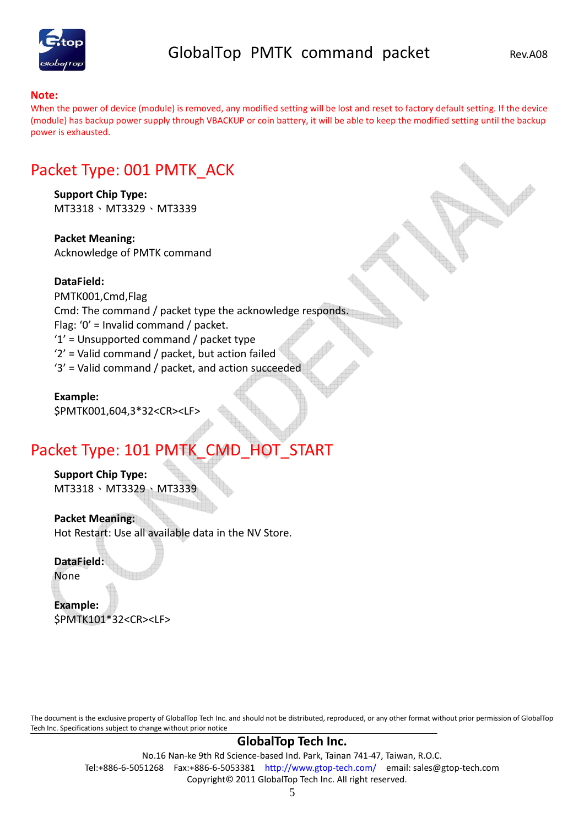

#### **Note:**

When the power of device (module) is removed, any modified setting will be lost and reset to factory default setting. If the device (module) has backup power supply through VBACKUP or coin battery, it will be able to keep the modified setting until the backup power is exhausted.

### Packet Type: 001 PMTK\_ACK

**Support Chip Type:**  MT3318、MT3329、MT3339

**Packet Meaning:**  Acknowledge of PMTK command

#### **DataField:**

PMTK001,Cmd,Flag Cmd: The command / packet type the acknowledge responds. Flag: '0' = Invalid command / packet. '1' = Unsupported command / packet type '2' = Valid command / packet, but action failed '3' = Valid command / packet, and action succeeded

**Example:**  \$PMTK001,604,3\*32<CR><LF>

### Packet Type: 101 PMTK\_CMD\_HOT\_START

**Support Chip Type:**  MT3318、MT3329、MT3339

**Packet Meaning:**  Hot Restart: Use all available data in the NV Store.

**DataField:** 

None

**Example:**  \$PMTK101\*32<CR><LF>

The document is the exclusive property of GlobalTop Tech Inc. and should not be distributed, reproduced, or any other format without prior permission of GlobalTop Tech Inc. Specifications subject to change without prior notice

#### **GlobalTop Tech Inc.**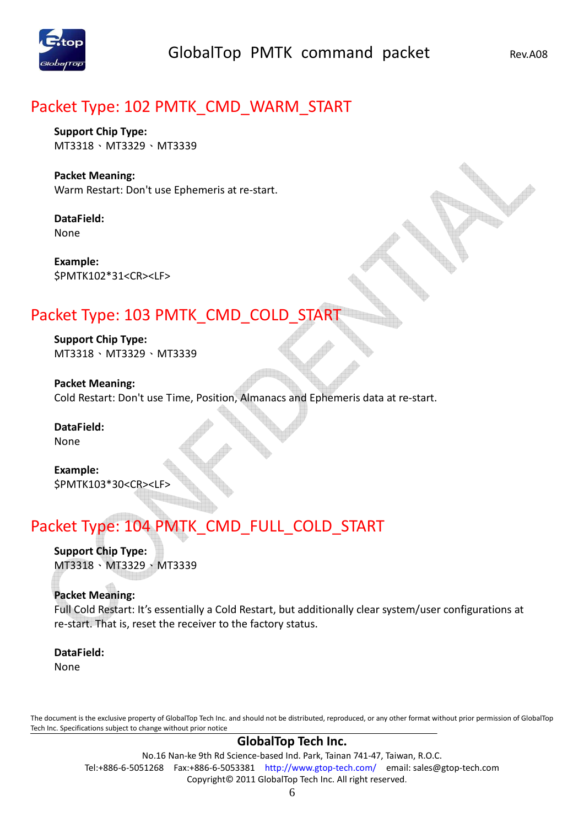

### Packet Type: 102 PMTK\_CMD\_WARM\_START

**Support Chip Type:**  MT3318、MT3329、MT3339

#### **Packet Meaning:**  Warm Restart: Don't use Ephemeris at re-start.

**DataField:**  None

**Example:**  \$PMTK102\*31<CR><LF>

# Packet Type: 103 PMTK\_CMD\_COLD\_START

**Support Chip Type:**  MT3318、MT3329、MT3339

**Packet Meaning:**  Cold Restart: Don't use Time, Position, Almanacs and Ephemeris data at re-start.

**DataField:**  None

**Example:**  \$PMTK103\*30<CR><LF>

# Packet Type: 104 PMTK\_CMD\_FULL\_COLD\_START

**Support Chip Type:**  MT3318、MT3329、MT3339

#### **Packet Meaning:**

Full Cold Restart: It's essentially a Cold Restart, but additionally clear system/user configurations at re-start. That is, reset the receiver to the factory status.

# **DataField:**

None

The document is the exclusive property of GlobalTop Tech Inc. and should not be distributed, reproduced, or any other format without prior permission of GlobalTop Tech Inc. Specifications subject to change without prior notice

#### **GlobalTop Tech Inc.**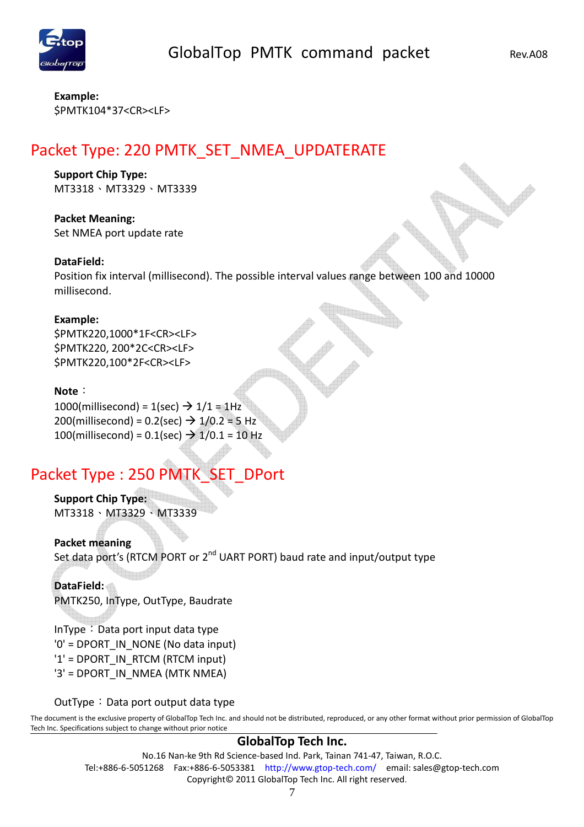

**Example:**  \$PMTK104\*37<CR><LF>

# Packet Type: 220 PMTK\_SET\_NMEA\_UPDATERATE

#### **Support Chip Type:**

MT3318、MT3329、MT3339

**Packet Meaning:**  Set NMEA port update rate

#### **DataField:**

Position fix interval (millisecond). The possible interval values range between 100 and 10000 millisecond.

#### **Example:**

\$PMTK220,1000\*1F<CR><LF> \$PMTK220, 200\*2C<CR><LF> \$PMTK220,100\*2F<CR><LF>

#### **Note**:

 $1000$ (millisecond) =  $1$ (sec)  $\rightarrow$   $1/1$  = 1Hz 200(millisecond) =  $0.2$ (sec)  $\rightarrow$  1/0.2 = 5 Hz 100(millisecond) =  $0.1$ (sec)  $\rightarrow$  1/0.1 = 10 Hz

# Packet Type : 250 PMTK\_SET\_DPort

**Support Chip Type:**  MT3318、MT3329、MT3339

**Packet meaning**  Set data port's (RTCM PORT or 2nd UART PORT) baud rate and input/output type

#### **DataField:**

PMTK250, InType, OutType, Baudrate

In Type: Data port input data type '0' = DPORT\_IN\_NONE (No data input) '1' = DPORT\_IN\_RTCM (RTCM input) '3' = DPORT\_IN\_NMEA (MTK NMEA)

#### OutType: Data port output data type

The document is the exclusive property of GlobalTop Tech Inc. and should not be distributed, reproduced, or any other format without prior permission of GlobalTop Tech Inc. Specifications subject to change without prior notice

#### **GlobalTop Tech Inc.**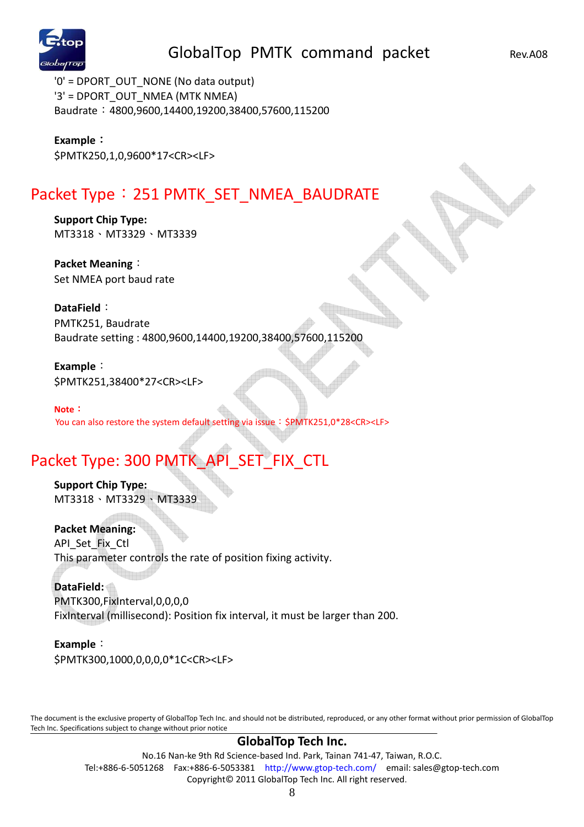

'0' = DPORT\_OUT\_NONE (No data output) '3' = DPORT\_OUT\_NMEA (MTK NMEA) Baudrate:4800,9600,14400,19200,38400,57600,115200

**Example**: \$PMTK250,1,0,9600\*17<CR><LF>

# Packet Type: 251 PMTK\_SET\_NMEA\_BAUDRATE

**Support Chip Type:**  MT3318、MT3329、MT3339

**Packet Meaning**: Set NMEA port baud rate

**DataField**: PMTK251, Baudrate Baudrate setting : 4800,9600,14400,19200,38400,57600,115200

**Example**: \$PMTK251,38400\*27<CR><LF>

**Note**: You can also restore the system default setting via issue: \$PMTK251,0\*28<CR><LF>

# Packet Type: 300 PMTK\_API\_SET\_FIX\_CTL

**Support Chip Type:**  MT3318、MT3329、MT3339

**Packet Meaning:**  API Set Fix Ctl This parameter controls the rate of position fixing activity.

**DataField:**  PMTK300,FixInterval,0,0,0,0 FixInterval (millisecond): Position fix interval, it must be larger than 200.

**Example**: \$PMTK300,1000,0,0,0,0\*1C<CR><LF>

The document is the exclusive property of GlobalTop Tech Inc. and should not be distributed, reproduced, or any other format without prior permission of GlobalTop Tech Inc. Specifications subject to change without prior notice

#### **GlobalTop Tech Inc.**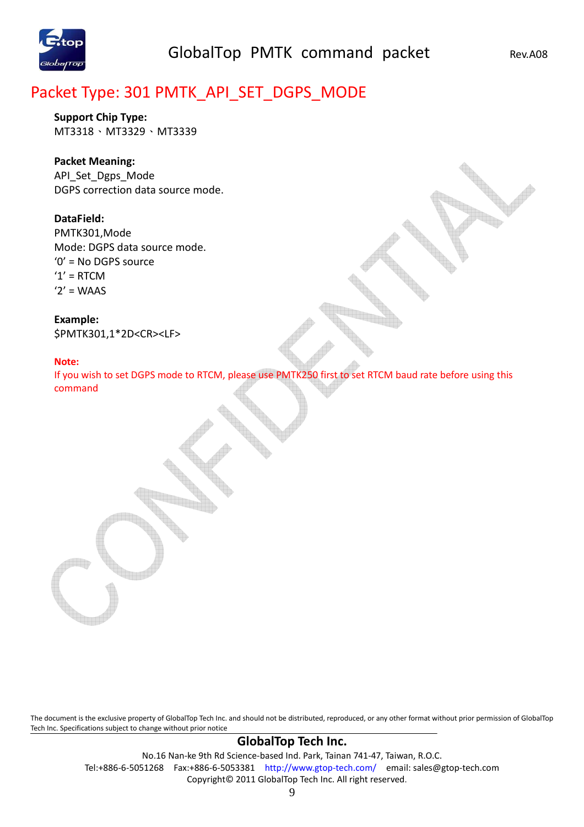

# Packet Type: 301 PMTK\_API\_SET\_DGPS\_MODE

**Support Chip Type:**  MT3318、MT3329、MT3339

#### **Packet Meaning:**

API\_Set\_Dgps\_Mode DGPS correction data source mode.

#### **DataField:**

PMTK301,Mode Mode: DGPS data source mode. '0' = No DGPS source  $'1' = RTCM$  $'2'$  = WAAS

**Example:**  \$PMTK301,1\*2D<CR><LF>

#### **Note:**

If you wish to set DGPS mode to RTCM, please use PMTK250 first to set RTCM baud rate before using this command

The document is the exclusive property of GlobalTop Tech Inc. and should not be distributed, reproduced, or any other format without prior permission of GlobalTop Tech Inc. Specifications subject to change without prior notice

#### **GlobalTop Tech Inc.**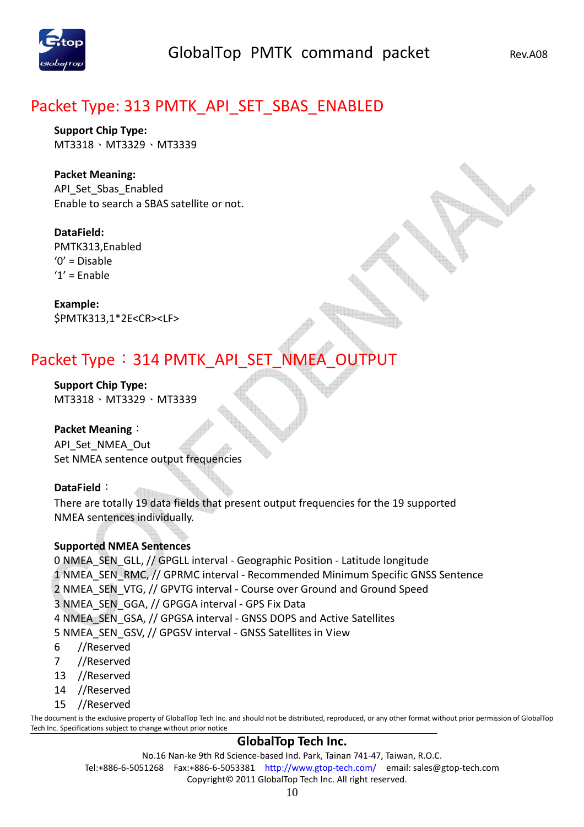

# Packet Type: 313 PMTK\_API\_SET\_SBAS\_ENABLED

**Support Chip Type:**  MT3318、MT3329、MT3339

**Packet Meaning:**  API Set Sbas Enabled Enable to search a SBAS satellite or not.

**DataField:**  PMTK313,Enabled '0' = Disable  $'1'$  = Enable

**Example:**  \$PMTK313,1\*2E<CR><LF>

# Packet Type: 314 PMTK\_API\_SET\_NMEA\_OUTPUT

**Support Chip Type:**  MT3318、MT3329、MT3339

**Packet Meaning**: API\_Set\_NMEA\_Out Set NMEA sentence output frequencies

#### **DataField**:

There are totally 19 data fields that present output frequencies for the 19 supported NMEA sentences individually.

#### **Supported NMEA Sentences**

0 NMEA\_SEN\_GLL, // GPGLL interval - Geographic Position - Latitude longitude 1 NMEA\_SEN\_RMC, // GPRMC interval - Recommended Minimum Specific GNSS Sentence 2 NMEA\_SEN\_VTG, // GPVTG interval - Course over Ground and Ground Speed 3 NMEA\_SEN\_GGA, // GPGGA interval - GPS Fix Data 4 NMEA\_SEN\_GSA, // GPGSA interval - GNSS DOPS and Active Satellites 5 NMEA\_SEN\_GSV, // GPGSV interval - GNSS Satellites in View 6 //Reserved

- 7 //Reserved
- 13 //Reserved
- 14 //Reserved
- 15 //Reserved

The document is the exclusive property of GlobalTop Tech Inc. and should not be distributed, reproduced, or any other format without prior permission of GlobalTop Tech Inc. Specifications subject to change without prior notice

#### **GlobalTop Tech Inc.**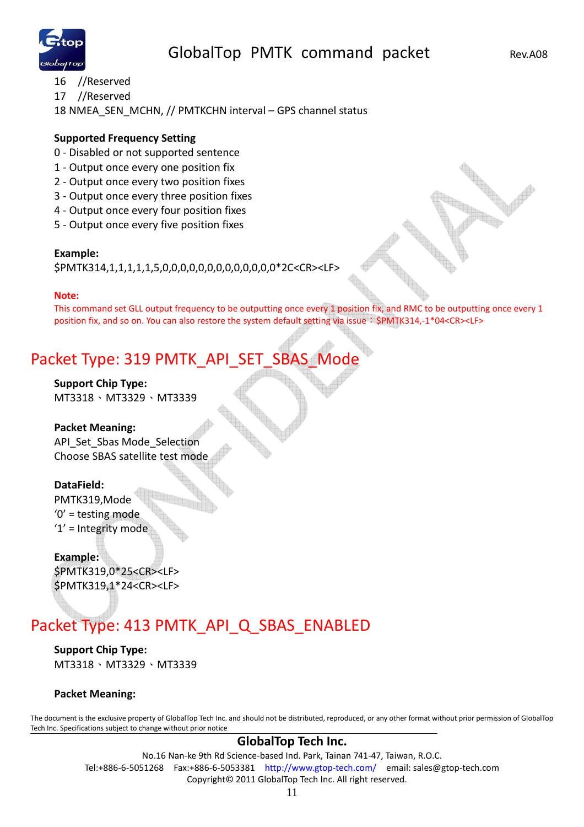

- 16 //Reserved
- 17 //Reserved

18 NMEA\_SEN\_MCHN, // PMTKCHN interval – GPS channel status

#### **Supported Frequency Setting**

- 0 Disabled or not supported sentence
- 1 Output once every one position fix
- 2 Output once every two position fixes
- 3 Output once every three position fixes
- 4 Output once every four position fixes
- 5 Output once every five position fixes

#### **Example:**

\$PMTK314,1,1,1,1,1,5,0,0,0,0,0,0,0,0,0,0,0,0,0\*2C<CR><LF>

#### **Note:**

This command set GLL output frequency to be outputting once every 1 position fix, and RMC to be outputting once every 1 position fix, and so on. You can also restore the system default setting via issue: \$PMTK314,-1\*04<CR><LF>

# Packet Type: 319 PMTK\_API\_SET\_SBAS\_Mode

**Support Chip Type:**  MT3318、MT3329、MT3339

#### **Packet Meaning:**

API\_Set\_Sbas Mode\_Selection Choose SBAS satellite test mode

#### **DataField:**

PMTK319,Mode '0' = testing mode '1' = Integrity mode

#### **Example:**  \$PMTK319,0\*25<CR><LF> \$PMTK319,1\*24<CR><LF>

# Packet Type: 413 PMTK\_API\_Q\_SBAS\_ENABLED

**Support Chip Type:**  MT3318、MT3329、MT3339

#### **Packet Meaning:**

The document is the exclusive property of GlobalTop Tech Inc. and should not be distributed, reproduced, or any other format without prior permission of GlobalTop Tech Inc. Specifications subject to change without prior notice

#### **GlobalTop Tech Inc.**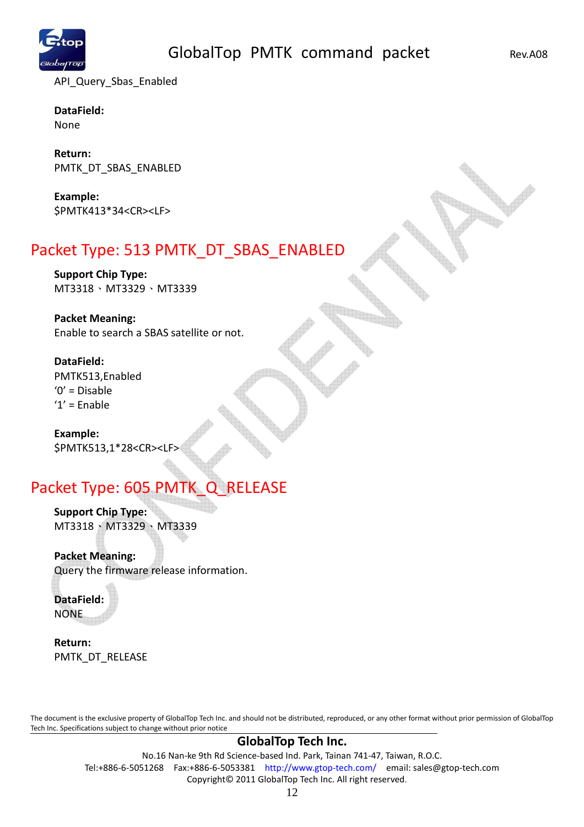

API Query Sbas Enabled

**DataField:**  None

**Return:**  PMTK\_DT\_SBAS\_ENABLED

**Example:**  \$PMTK413\*34<CR><LF>

# Packet Type: 513 PMTK\_DT\_SBAS\_ENABLED

**Support Chip Type:**  MT3318、MT3329、MT3339

### **Packet Meaning:**

Enable to search a SBAS satellite or not.

#### **DataField:**

PMTK513,Enabled '0' = Disable  $'1'$  = Enable

**Example:**  \$PMTK513,1\*28<CR><LF>

# Packet Type: 605 PMTK\_Q\_RELEASE

**Support Chip Type:**  MT3318、MT3329、MT3339

**Packet Meaning:** 

Query the firmware release information.

**DataField:**  NONE

**Return:**  PMTK\_DT\_RELEASE

The document is the exclusive property of GlobalTop Tech Inc. and should not be distributed, reproduced, or any other format without prior permission of GlobalTop Tech Inc. Specifications subject to change without prior notice

#### **GlobalTop Tech Inc.**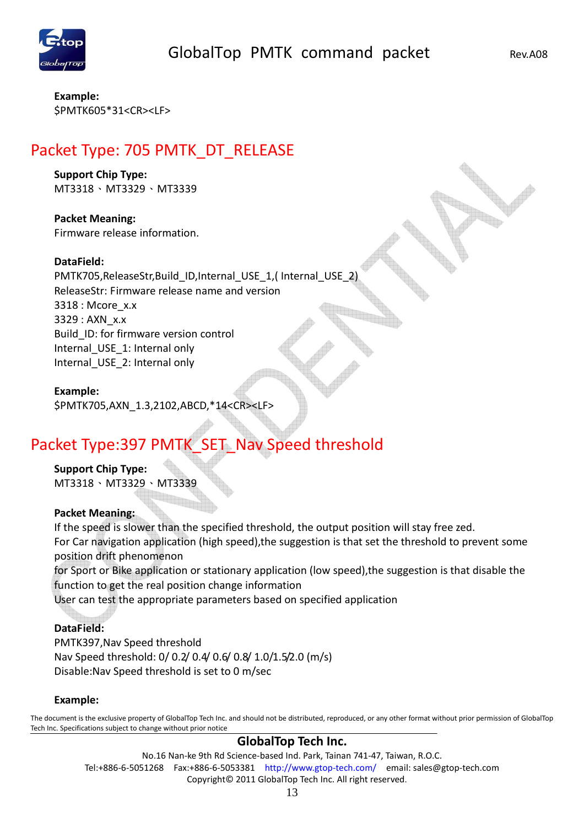

**Example:**  \$PMTK605\*31<CR><LF>

# Packet Type: 705 PMTK\_DT\_RELEASE

#### **Support Chip Type:**

MT3318、MT3329、MT3339

#### **Packet Meaning:**  Firmware release information.

#### **DataField:**

PMTK705, ReleaseStr, Build ID, Internal USE 1, ( Internal USE 2) ReleaseStr: Firmware release name and version 3318 : Mcore\_x.x 3329 : AXN\_x.x Build\_ID: for firmware version control Internal USE 1: Internal only Internal USE 2: Internal only

#### **Example:**

\$PMTK705,AXN\_1.3,2102,ABCD,\*14<CR><LF>

# Packet Type:397 PMTK SET Nav Speed threshold

# **Support Chip Type:**

MT3318、MT3329、MT3339

#### **Packet Meaning:**

If the speed is slower than the specified threshold, the output position will stay free zed. For Car navigation application (high speed),the suggestion is that set the threshold to prevent some position drift phenomenon

for Sport or Bike application or stationary application (low speed),the suggestion is that disable the function to get the real position change information

User can test the appropriate parameters based on specified application

#### **DataField:**

PMTK397,Nav Speed threshold Nav Speed threshold: 0/ 0.2/ 0.4/ 0.6/ 0.8/ 1.0/1.5/2.0 (m/s) Disable:Nav Speed threshold is set to 0 m/sec

#### **Example:**

The document is the exclusive property of GlobalTop Tech Inc. and should not be distributed, reproduced, or any other format without prior permission of GlobalTop Tech Inc. Specifications subject to change without prior notice

#### **GlobalTop Tech Inc.**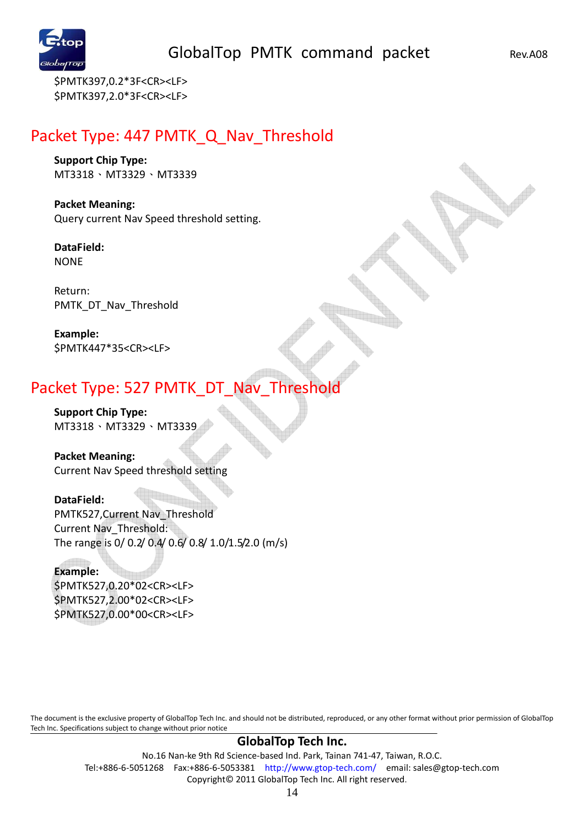

\$PMTK397,0.2\*3F<CR><LF> \$PMTK397,2.0\*3F<CR><LF>

### Packet Type: 447 PMTK Q Nav Threshold

**Support Chip Type:**  MT3318、MT3329、MT3339

**Packet Meaning:**  Query current Nav Speed threshold setting.

**DataField:**  NONE

Return: PMTK\_DT\_Nav\_Threshold

**Example:**  \$PMTK447\*35<CR><LF>

### Packet Type: 527 PMTK\_DT\_Nav\_Threshold

**Support Chip Type:**  MT3318、MT3329、MT3339

**Packet Meaning:**  Current Nav Speed threshold setting

**DataField:**  PMTK527,Current Nav\_Threshold Current Nav\_Threshold: The range is 0/ 0.2/ 0.4/ 0.6/ 0.8/ 1.0/1.5/2.0 (m/s)

# **Example:**

\$PMTK527,0.20\*02<CR><LF> \$PMTK527,2.00\*02<CR><LF> \$PMTK527,0.00\*00<CR><LF>

The document is the exclusive property of GlobalTop Tech Inc. and should not be distributed, reproduced, or any other format without prior permission of GlobalTop Tech Inc. Specifications subject to change without prior notice

#### **GlobalTop Tech Inc.**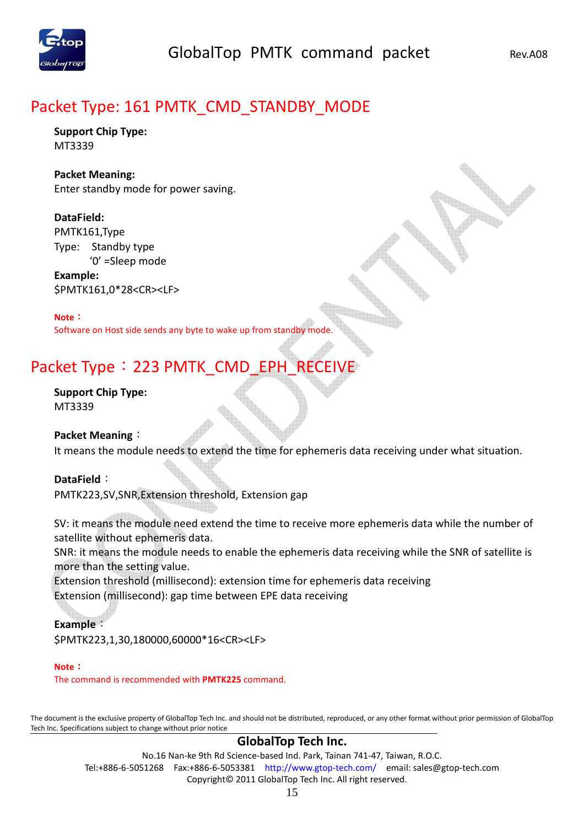

### Packet Type: 161 PMTK\_CMD\_STANDBY\_MODE

**Support Chip Type:**  MT3339

#### **Packet Meaning:**

Enter standby mode for power saving.

#### **DataField:**

PMTK161,Type Type: Standby type '0' =Sleep mode

**Example:**  \$PMTK161,0\*28<CR><LF>

#### **Note**:

Software on Host side sends any byte to wake up from standby mode.

# Packet Type: 223 PMTK\_CMD\_EPH\_RECEIVE

**Support Chip Type:**  MT3339

**Packet Meaning**:

It means the module needs to extend the time for ephemeris data receiving under what situation.

#### **DataField**:

PMTK223,SV,SNR,Extension threshold, Extension gap

SV: it means the module need extend the time to receive more ephemeris data while the number of satellite without ephemeris data.

SNR: it means the module needs to enable the ephemeris data receiving while the SNR of satellite is more than the setting value.

Extension threshold (millisecond): extension time for ephemeris data receiving Extension (millisecond): gap time between EPE data receiving

#### **Example**:

\$PMTK223,1,30,180000,60000\*16<CR><LF>

#### **Note**:

The command is recommended with **PMTK225** command.

The document is the exclusive property of GlobalTop Tech Inc. and should not be distributed, reproduced, or any other format without prior permission of GlobalTop Tech Inc. Specifications subject to change without prior notice

#### **GlobalTop Tech Inc.**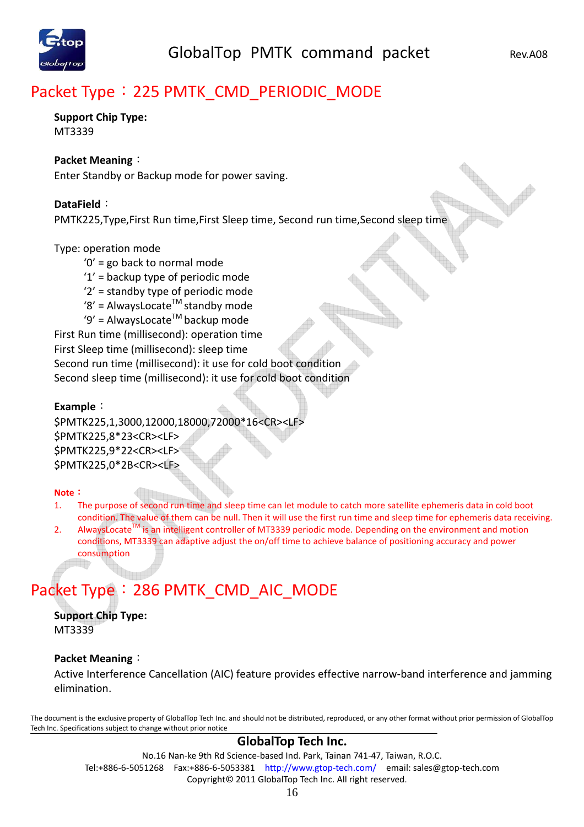# Packet Type: 225 PMTK\_CMD\_PERIODIC\_MODE

#### **Support Chip Type:**  MT3339

#### **Packet Meaning**:

Enter Standby or Backup mode for power saving.

#### **DataField**:

PMTK225,Type,First Run time,First Sleep time, Second run time,Second sleep time

#### Type: operation mode

- '0' = go back to normal mode
- '1' = backup type of periodic mode
- '2' = standby type of periodic mode
- '8' = AlwaysLocate<sup>TM</sup> standby mode
- '9' = AlwaysLocate<sup>TM</sup> backup mode

First Run time (millisecond): operation time

First Sleep time (millisecond): sleep time

Second run time (millisecond): it use for cold boot condition

Second sleep time (millisecond): it use for cold boot condition

#### **Example**:

\$PMTK225,1,3000,12000,18000,72000\*16<CR><LF> \$PMTK225,8\*23<CR><LF> \$PMTK225,9\*22<CR><LF> \$PMTK225,0\*2B<CR><LF>

#### **Note**:

- 1. The purpose of second run time and sleep time can let module to catch more satellite ephemeris data in cold boot condition. The value of them can be null. Then it will use the first run time and sleep time for ephemeris data receiving.
- 2. AlwaysLocate $^{TM}$  is an intelligent controller of MT3339 periodic mode. Depending on the environment and motion conditions, MT3339 can adaptive adjust the on/off time to achieve balance of positioning accuracy and power consumption

# Packet Type: 286 PMTK\_CMD\_AIC\_MODE

**Support Chip Type:**  MT3339

#### **Packet Meaning**:

Active Interference Cancellation (AIC) feature provides effective narrow-band interference and jamming elimination.

The document is the exclusive property of GlobalTop Tech Inc. and should not be distributed, reproduced, or any other format without prior permission of GlobalTop Tech Inc. Specifications subject to change without prior notice

#### **GlobalTop Tech Inc.**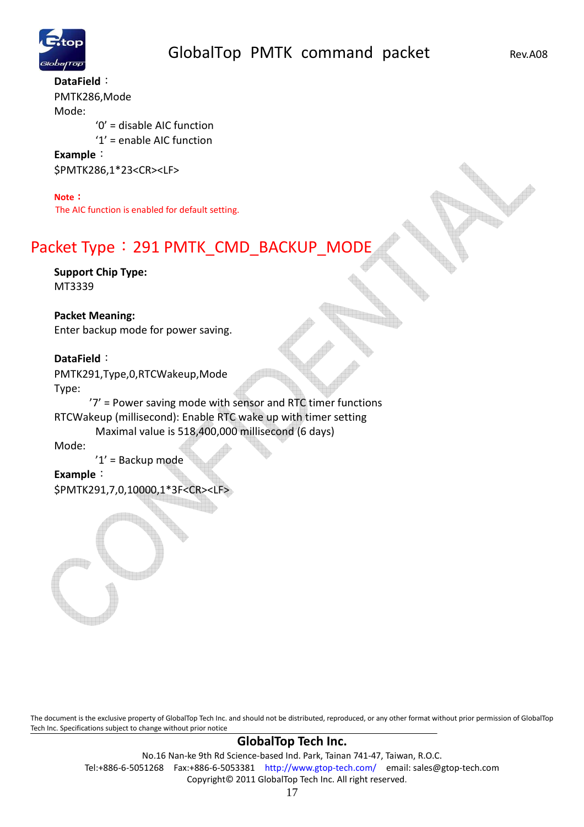

**DataField**: PMTK286,Mode Mode: '0' = disable AIC function '1' = enable AIC function **Example**:

\$PMTK286,1\*23<CR><LF>

#### **Note**:

The AIC function is enabled for default setting.

# Packet Type: 291 PMTK\_CMD\_BACKUP\_MODE

**Support Chip Type:**  MT3339

#### **Packet Meaning:**

Enter backup mode for power saving.

#### **DataField**:

PMTK291,Type,0,RTCWakeup,Mode Type:

 '7' = Power saving mode with sensor and RTC timer functions RTCWakeup (millisecond): Enable RTC wake up with timer setting Maximal value is 518,400,000 millisecond (6 days)

#### Mode:

'1' = Backup mode

#### **Example**:

\$PMTK291,7,0,10000,1\*3F<CR><LF>

The document is the exclusive property of GlobalTop Tech Inc. and should not be distributed, reproduced, or any other format without prior permission of GlobalTop Tech Inc. Specifications subject to change without prior notice

#### **GlobalTop Tech Inc.**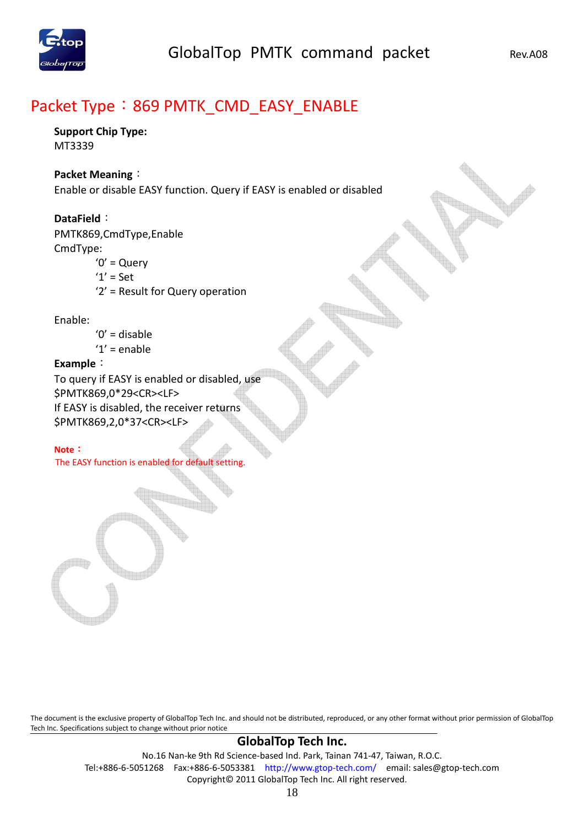

# Packet Type: 869 PMTK\_CMD\_EASY\_ENABLE

### **Support Chip Type:**

MT3339

#### **Packet Meaning**:

Enable or disable EASY function. Query if EASY is enabled or disabled

#### **DataField**:

PMTK869,CmdType,Enable CmdType:

- $'0'$  = Query
- '1' = Set
- '2' = Result for Query operation

#### Enable:

- $'0'$  = disable
- $'1'$  = enable

#### **Example**:

To query if EASY is enabled or disabled, use \$PMTK869,0\*29<CR><LF> If EASY is disabled, the receiver returns \$PMTK869,2,0\*37<CR><LF>

#### **Note**:

The EASY function is enabled for default setting.

The document is the exclusive property of GlobalTop Tech Inc. and should not be distributed, reproduced, or any other format without prior permission of GlobalTop Tech Inc. Specifications subject to change without prior notice

#### **GlobalTop Tech Inc.**